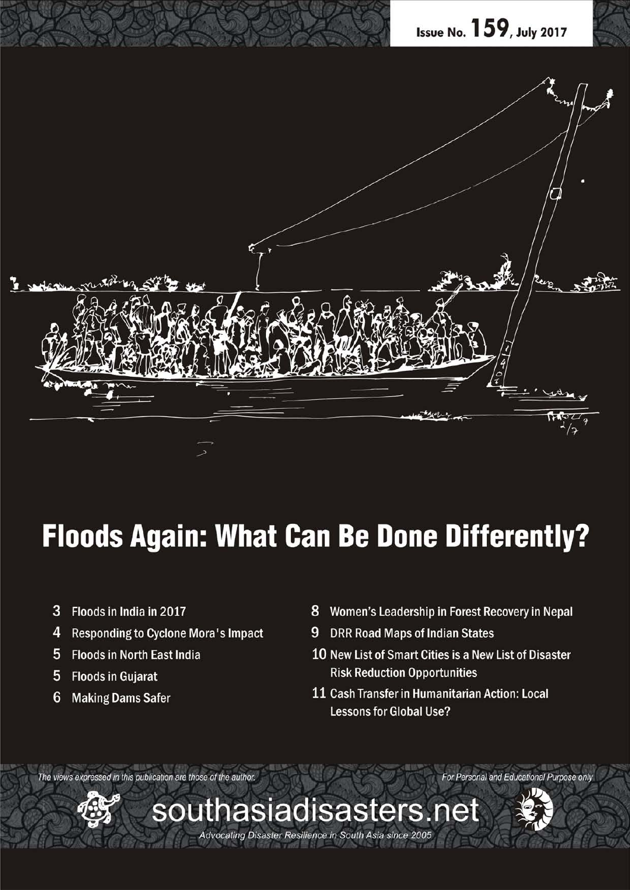

# **Floods Again: What Can Be Done Differently?**

southasiadisasters.net

Advocating Disaster Resilience in South Asia since 2005

- 3 Floods in India in 2017
- 4 Responding to Cyclone Mora's Impact
- 5 Floods in North East India
- 5 Floods in Gujarat
- 6 **Making Dams Safer**
- 8 Women's Leadership in Forest Recovery in Nepal
- 9 DRR Road Maps of Indian States
- 10 New List of Smart Cities is a New List of Disaster **Risk Reduction Opportunities**

For Personal and Educational Purpose only

11 Cash Transfer in Humanitarian Action: Local **Lessons for Global Use?** 

The views expressed in this publication are those of the author.

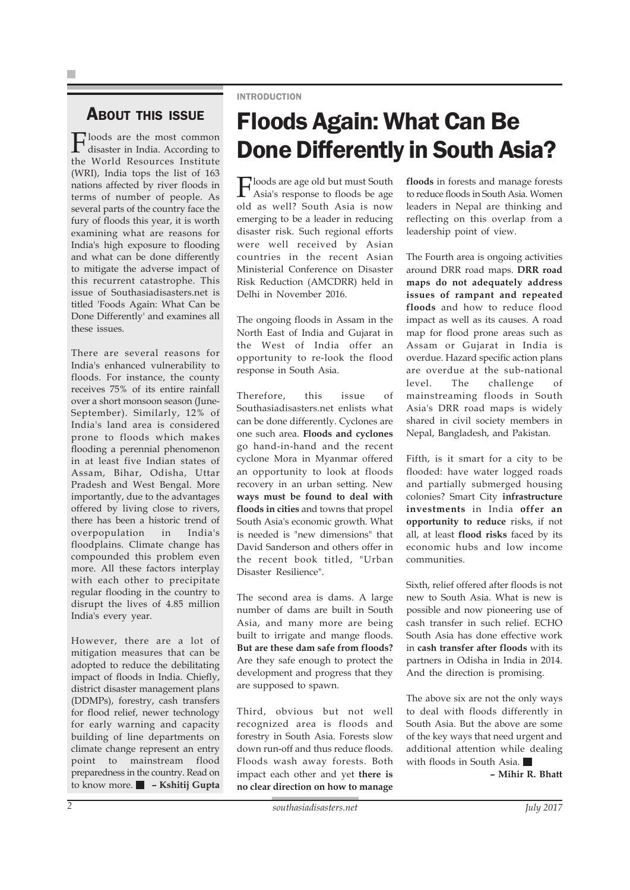### ABOUT THIS ISSUE

**Floods** are the most common disaster in India. According to the World Resources Institute (WRI), India tops the list of 163 nations affected by river floods in terms of number of people. As several parts of the country face the fury of floods this year, it is worth examining what are reasons for India's high exposure to flooding and what can be done differently to mitigate the adverse impact of this recurrent catastrophe. This issue of Southasiadisasters.net is titled 'Foods Again: What Can be Done Differently' and examines all these issues.

There are several reasons for India's enhanced vulnerability to floods. For instance, the county receives 75% of its entire rainfall over a short monsoon season (June-September). Similarly, 12% of India's land area is considered prone to floods which makes flooding a perennial phenomenon in at least five Indian states of Assam, Bihar, Odisha, Uttar Pradesh and West Bengal. More importantly, due to the advantages offered by living close to rivers, there has been a historic trend of overpopulation in India's floodplains. Climate change has compounded this problem even more. All these factors interplay with each other to precipitate regular flooding in the country to disrupt the lives of 4.85 million India's every year.

However, there are a lot of mitigation measures that can be adopted to reduce the debilitating impact of floods in India. Chiefly, district disaster management plans (DDMPs), forestry, cash transfers for flood relief, newer technology for early warning and capacity building of line departments on climate change represent an entry point to mainstream flood preparedness in the country. Read on to know more. **– Kshitij Gupta**

#### INTRODUCTION

# Floods Again: What Can Be Done Differently in South Asia?

Floods are age old but must South Asia's response to floods be age old as well? South Asia is now emerging to be a leader in reducing disaster risk. Such regional efforts were well received by Asian countries in the recent Asian Ministerial Conference on Disaster Risk Reduction (AMCDRR) held in Delhi in November 2016.

The ongoing floods in Assam in the North East of India and Gujarat in the West of India offer an opportunity to re-look the flood response in South Asia.

Therefore, this issue of Southasiadisasters.net enlists what can be done differently. Cyclones are one such area. **Floods and cyclones** go hand-in-hand and the recent cyclone Mora in Myanmar offered an opportunity to look at floods recovery in an urban setting. New **ways must be found to deal with floods in cities** and towns that propel South Asia's economic growth. What is needed is "new dimensions" that David Sanderson and others offer in the recent book titled, "Urban Disaster Resilience".

The second area is dams. A large number of dams are built in South Asia, and many more are being built to irrigate and mange floods. **But are these dam safe from floods?** Are they safe enough to protect the development and progress that they are supposed to spawn.

Third, obvious but not well recognized area is floods and forestry in South Asia. Forests slow down run-off and thus reduce floods. Floods wash away forests. Both impact each other and yet **there is no clear direction on how to manage** **floods** in forests and manage forests to reduce floods in South Asia. Women leaders in Nepal are thinking and reflecting on this overlap from a leadership point of view.

The Fourth area is ongoing activities around DRR road maps. **DRR road maps do not adequately address issues of rampant and repeated floods** and how to reduce flood impact as well as its causes. A road map for flood prone areas such as Assam or Gujarat in India is overdue. Hazard specific action plans are overdue at the sub-national level. The challenge of mainstreaming floods in South Asia's DRR road maps is widely shared in civil society members in Nepal, Bangladesh, and Pakistan.

Fifth, is it smart for a city to be flooded: have water logged roads and partially submerged housing colonies? Smart City **infrastructure investments** in India **offer an opportunity to reduce** risks, if not all, at least **flood risks** faced by its economic hubs and low income communities.

Sixth, relief offered after floods is not new to South Asia. What is new is possible and now pioneering use of cash transfer in such relief. ECHO South Asia has done effective work in **cash transfer after floods** with its partners in Odisha in India in 2014. And the direction is promising.

The above six are not the only ways to deal with floods differently in South Asia. But the above are some of the key ways that need urgent and additional attention while dealing with floods in South Asia.

**– Mihir R. Bhatt**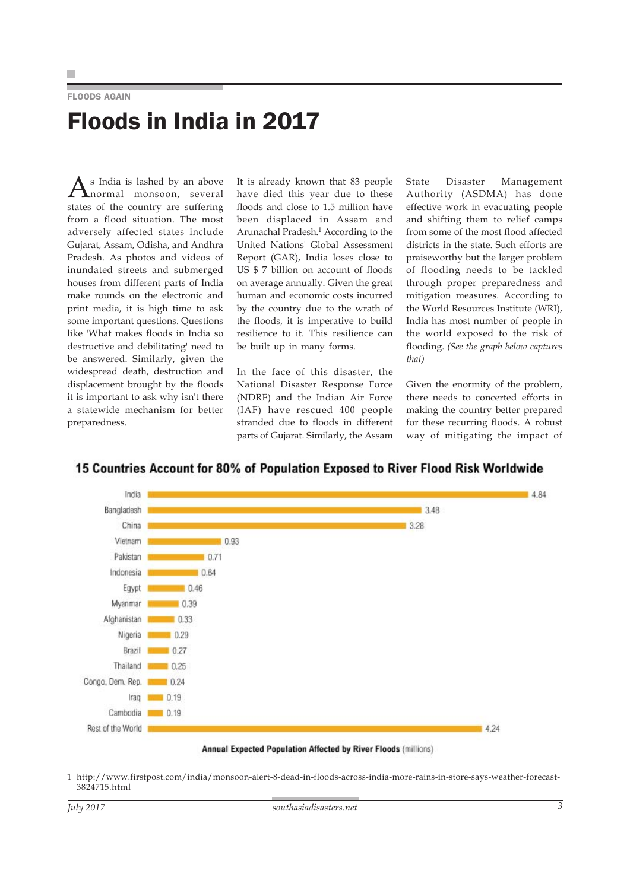### FLOODS AGAIN Floods in India in 2017

As India is lashed by an above<br>mormal monsoon, several states of the country are suffering from a flood situation. The most adversely affected states include Gujarat, Assam, Odisha, and Andhra Pradesh. As photos and videos of inundated streets and submerged houses from different parts of India make rounds on the electronic and print media, it is high time to ask some important questions. Questions like 'What makes floods in India so destructive and debilitating' need to be answered. Similarly, given the widespread death, destruction and displacement brought by the floods it is important to ask why isn't there a statewide mechanism for better preparedness.

It is already known that 83 people have died this year due to these floods and close to 1.5 million have been displaced in Assam and Arunachal Pradesh.1 According to the United Nations' Global Assessment Report (GAR), India loses close to US \$ 7 billion on account of floods on average annually. Given the great human and economic costs incurred by the country due to the wrath of the floods, it is imperative to build resilience to it. This resilience can be built up in many forms.

In the face of this disaster, the National Disaster Response Force (NDRF) and the Indian Air Force (IAF) have rescued 400 people stranded due to floods in different parts of Gujarat. Similarly, the Assam

State Disaster Management Authority (ASDMA) has done effective work in evacuating people and shifting them to relief camps from some of the most flood affected districts in the state. Such efforts are praiseworthy but the larger problem of flooding needs to be tackled through proper preparedness and mitigation measures. According to the World Resources Institute (WRI), India has most number of people in the world exposed to the risk of flooding. *(See the graph below captures that)*

Given the enormity of the problem, there needs to concerted efforts in making the country better prepared for these recurring floods. A robust way of mitigating the impact of



### 15 Countries Account for 80% of Population Exposed to River Flood Risk Worldwide

1 http://www.firstpost.com/india/monsoon-alert-8-dead-in-floods-across-india-more-rains-in-store-says-weather-forecast-3824715.html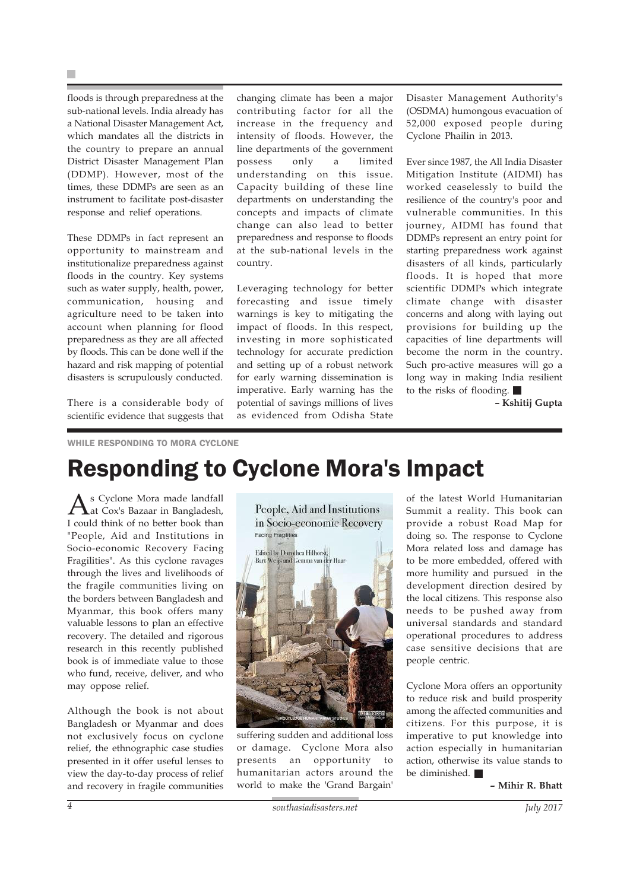floods is through preparedness at the sub-national levels. India already has a National Disaster Management Act, which mandates all the districts in the country to prepare an annual District Disaster Management Plan (DDMP). However, most of the times, these DDMPs are seen as an instrument to facilitate post-disaster response and relief operations.

These DDMPs in fact represent an opportunity to mainstream and institutionalize preparedness against floods in the country. Key systems such as water supply, health, power, communication, housing and agriculture need to be taken into account when planning for flood preparedness as they are all affected by floods. This can be done well if the hazard and risk mapping of potential disasters is scrupulously conducted.

There is a considerable body of scientific evidence that suggests that

changing climate has been a major contributing factor for all the increase in the frequency and intensity of floods. However, the line departments of the government possess only a limited understanding on this issue. Capacity building of these line departments on understanding the concepts and impacts of climate change can also lead to better preparedness and response to floods at the sub-national levels in the country.

Leveraging technology for better forecasting and issue timely warnings is key to mitigating the impact of floods. In this respect, investing in more sophisticated technology for accurate prediction and setting up of a robust network for early warning dissemination is imperative. Early warning has the potential of savings millions of lives as evidenced from Odisha State

Disaster Management Authority's (OSDMA) humongous evacuation of 52,000 exposed people during Cyclone Phailin in 2013.

Ever since 1987, the All India Disaster Mitigation Institute (AIDMI) has worked ceaselessly to build the resilience of the country's poor and vulnerable communities. In this journey, AIDMI has found that DDMPs represent an entry point for starting preparedness work against disasters of all kinds, particularly floods. It is hoped that more scientific DDMPs which integrate climate change with disaster concerns and along with laying out provisions for building up the capacities of line departments will become the norm in the country. Such pro-active measures will go a long way in making India resilient to the risks of flooding.

**– Kshitij Gupta**

WHILE RESPONDING TO MORA CYCLONE

## Responding to Cyclone Mora's Impact

As Cyclone Mora made landfall at Cox's Bazaar in Bangladesh, I could think of no better book than "People, Aid and Institutions in Socio-economic Recovery Facing Fragilities". As this cyclone ravages through the lives and livelihoods of the fragile communities living on the borders between Bangladesh and Myanmar, this book offers many valuable lessons to plan an effective recovery. The detailed and rigorous research in this recently published book is of immediate value to those who fund, receive, deliver, and who may oppose relief.

Although the book is not about Bangladesh or Myanmar and does not exclusively focus on cyclone relief, the ethnographic case studies presented in it offer useful lenses to view the day-to-day process of relief and recovery in fragile communities



suffering sudden and additional loss or damage. Cyclone Mora also presents an opportunity to humanitarian actors around the world to make the 'Grand Bargain'

of the latest World Humanitarian Summit a reality. This book can provide a robust Road Map for doing so. The response to Cyclone Mora related loss and damage has to be more embedded, offered with more humility and pursued in the development direction desired by the local citizens. This response also needs to be pushed away from universal standards and standard operational procedures to address case sensitive decisions that are people centric.

Cyclone Mora offers an opportunity to reduce risk and build prosperity among the affected communities and citizens. For this purpose, it is imperative to put knowledge into action especially in humanitarian action, otherwise its value stands to be diminished.

**– Mihir R. Bhatt**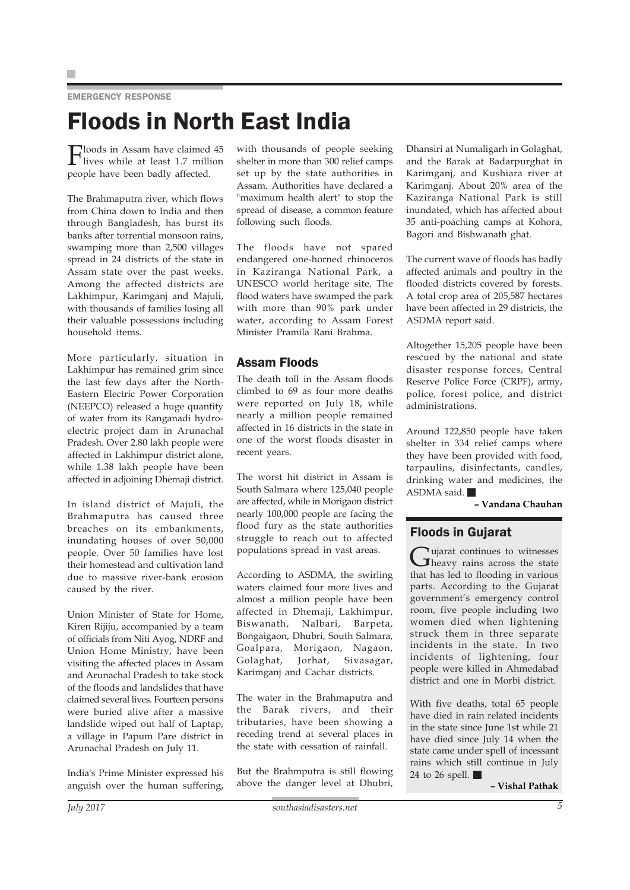EMERGENCY RESPONSE

# Floods in North East India

Floods in Assam have claimed 45 lives while at least 1.7 million people have been badly affected.

The Brahmaputra river, which flows from China down to India and then through Bangladesh, has burst its banks after torrential monsoon rains, swamping more than 2,500 villages spread in 24 districts of the state in Assam state over the past weeks. Among the affected districts are Lakhimpur, Karimganj and Majuli, with thousands of families losing all their valuable possessions including household items.

More particularly, situation in Lakhimpur has remained grim since the last few days after the North-Eastern Electric Power Corporation (NEEPCO) released a huge quantity of water from its Ranganadi hydroelectric project dam in Arunachal Pradesh. Over 2.80 lakh people were affected in Lakhimpur district alone, while 1.38 lakh people have been affected in adjoining Dhemaji district.

In island district of Majuli, the Brahmaputra has caused three breaches on its embankments, inundating houses of over 50,000 people. Over 50 families have lost their homestead and cultivation land due to massive river-bank erosion caused by the river.

Union Minister of State for Home, Kiren Rijiju, accompanied by a team of officials from Niti Ayog, NDRF and Union Home Ministry, have been visiting the affected places in Assam and Arunachal Pradesh to take stock of the floods and landslides that have claimed several lives. Fourteen persons were buried alive after a massive landslide wiped out half of Laptap, a village in Papum Pare district in Arunachal Pradesh on July 11.

India's Prime Minister expressed his anguish over the human suffering,

with thousands of people seeking shelter in more than 300 relief camps set up by the state authorities in Assam. Authorities have declared a "maximum health alert" to stop the spread of disease, a common feature following such floods.

The floods have not spared endangered one-horned rhinoceros in Kaziranga National Park, a UNESCO world heritage site. The flood waters have swamped the park with more than 90% park under water, according to Assam Forest Minister Pramila Rani Brahma.

### Assam Floods

The death toll in the Assam floods climbed to 69 as four more deaths were reported on July 18, while nearly a million people remained affected in 16 districts in the state in one of the worst floods disaster in recent years.

The worst hit district in Assam is South Salmara where 125,040 people are affected, while in Morigaon district nearly 100,000 people are facing the flood fury as the state authorities struggle to reach out to affected populations spread in vast areas.

According to ASDMA, the swirling waters claimed four more lives and almost a million people have been affected in Dhemaji, Lakhimpur, Biswanath, Nalbari, Barpeta, Bongaigaon, Dhubri, South Salmara, Goalpara, Morigaon, Nagaon, Golaghat, Jorhat, Sivasagar, Karimganj and Cachar districts.

The water in the Brahmaputra and the Barak rivers, and their tributaries, have been showing a receding trend at several places in the state with cessation of rainfall.

But the Brahmputra is still flowing above the danger level at Dhubri,

Dhansiri at Numaligarh in Golaghat, and the Barak at Badarpurghat in Karimganj, and Kushiara river at Karimganj. About 20% area of the Kaziranga National Park is still inundated, which has affected about 35 anti-poaching camps at Kohora, Bagori and Bishwanath ghat.

The current wave of floods has badly affected animals and poultry in the flooded districts covered by forests. A total crop area of 205,587 hectares have been affected in 29 districts, the ASDMA report said.

Altogether 15,205 people have been rescued by the national and state disaster response forces, Central Reserve Police Force (CRPF), army, police, forest police, and district administrations.

Around 122,850 people have taken shelter in 334 relief camps where they have been provided with food, tarpaulins, disinfectants, candles, drinking water and medicines, the ASDMA said.

**– Vandana Chauhan**

### Floods in Gujarat

Gujarat continues to witnesses<br>heavy rains across the state that has led to flooding in various parts. According to the Gujarat government's emergency control room, five people including two women died when lightening struck them in three separate incidents in the state. In two incidents of lightening, four people were killed in Ahmedabad district and one in Morbi district.

With five deaths, total 65 people have died in rain related incidents in the state since June 1st while 21 have died since July 14 when the state came under spell of incessant rains which still continue in July 24 to 26 spell.

**– Vishal Pathak**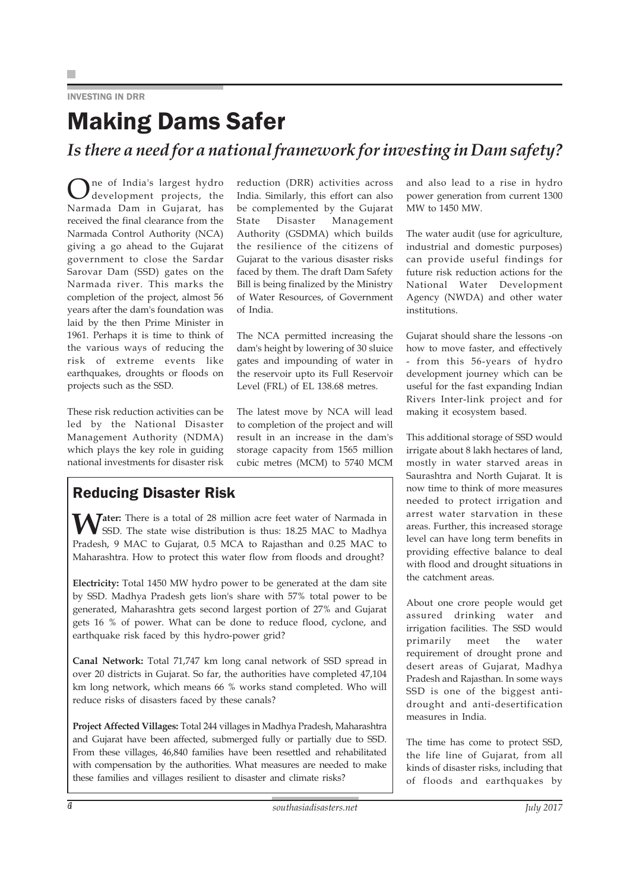### INVESTING IN DRR

### Making Dams Safer

*Is there a need for a national framework for investing in Dam safety?*

ne of India's largest hydro development projects, the Narmada Dam in Gujarat, has received the final clearance from the Narmada Control Authority (NCA) giving a go ahead to the Gujarat government to close the Sardar Sarovar Dam (SSD) gates on the Narmada river. This marks the completion of the project, almost 56 years after the dam's foundation was laid by the then Prime Minister in 1961. Perhaps it is time to think of the various ways of reducing the risk of extreme events like earthquakes, droughts or floods on projects such as the SSD.

These risk reduction activities can be led by the National Disaster Management Authority (NDMA) which plays the key role in guiding national investments for disaster risk

reduction (DRR) activities across India. Similarly, this effort can also be complemented by the Gujarat State Disaster Management Authority (GSDMA) which builds the resilience of the citizens of Gujarat to the various disaster risks faced by them. The draft Dam Safety Bill is being finalized by the Ministry of Water Resources, of Government of India.

The NCA permitted increasing the dam's height by lowering of 30 sluice gates and impounding of water in the reservoir upto its Full Reservoir Level (FRL) of EL 138.68 metres.

The latest move by NCA will lead to completion of the project and will result in an increase in the dam's storage capacity from 1565 million cubic metres (MCM) to 5740 MCM

### Reducing Disaster Risk

**Water:** There is a total of 28 million acre feet water of Narmada in SSD. The state wise distribution is thus: 18.25 MAC to Madhya Pradesh, 9 MAC to Gujarat, 0.5 MCA to Rajasthan and 0.25 MAC to Maharashtra. How to protect this water flow from floods and drought?

**Electricity:** Total 1450 MW hydro power to be generated at the dam site by SSD. Madhya Pradesh gets lion's share with 57% total power to be generated, Maharashtra gets second largest portion of 27% and Gujarat gets 16 % of power. What can be done to reduce flood, cyclone, and earthquake risk faced by this hydro-power grid?

**Canal Network:** Total 71,747 km long canal network of SSD spread in over 20 districts in Gujarat. So far, the authorities have completed 47,104 km long network, which means 66 % works stand completed. Who will reduce risks of disasters faced by these canals?

**Project Affected Villages:** Total 244 villages in Madhya Pradesh, Maharashtra and Gujarat have been affected, submerged fully or partially due to SSD. From these villages, 46,840 families have been resettled and rehabilitated with compensation by the authorities. What measures are needed to make these families and villages resilient to disaster and climate risks?

and also lead to a rise in hydro power generation from current 1300 MW to 1450 MW.

The water audit (use for agriculture, industrial and domestic purposes) can provide useful findings for future risk reduction actions for the National Water Development Agency (NWDA) and other water institutions.

Gujarat should share the lessons -on how to move faster, and effectively - from this 56-years of hydro development journey which can be useful for the fast expanding Indian Rivers Inter-link project and for making it ecosystem based.

This additional storage of SSD would irrigate about 8 lakh hectares of land, mostly in water starved areas in Saurashtra and North Gujarat. It is now time to think of more measures needed to protect irrigation and arrest water starvation in these areas. Further, this increased storage level can have long term benefits in providing effective balance to deal with flood and drought situations in the catchment areas.

About one crore people would get assured drinking water and irrigation facilities. The SSD would primarily meet the water requirement of drought prone and desert areas of Gujarat, Madhya Pradesh and Rajasthan. In some ways SSD is one of the biggest antidrought and anti-desertification measures in India.

The time has come to protect SSD, the life line of Gujarat, from all kinds of disaster risks, including that of floods and earthquakes by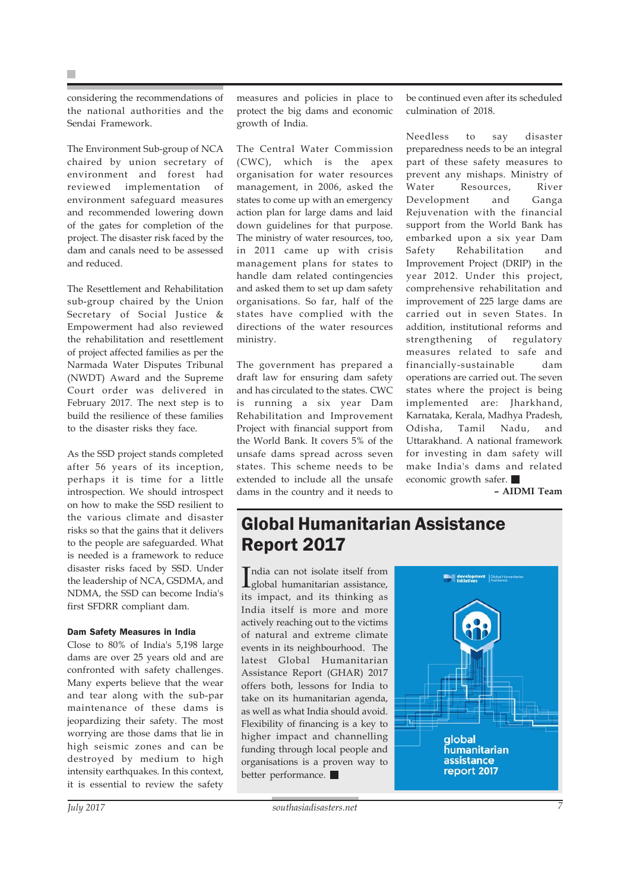considering the recommendations of the national authorities and the Sendai Framework.

The Environment Sub-group of NCA chaired by union secretary of environment and forest had reviewed implementation of environment safeguard measures and recommended lowering down of the gates for completion of the project. The disaster risk faced by the dam and canals need to be assessed and reduced.

The Resettlement and Rehabilitation sub-group chaired by the Union Secretary of Social Justice & Empowerment had also reviewed the rehabilitation and resettlement of project affected families as per the Narmada Water Disputes Tribunal (NWDT) Award and the Supreme Court order was delivered in February 2017. The next step is to build the resilience of these families to the disaster risks they face.

As the SSD project stands completed after 56 years of its inception, perhaps it is time for a little introspection. We should introspect on how to make the SSD resilient to the various climate and disaster risks so that the gains that it delivers to the people are safeguarded. What is needed is a framework to reduce disaster risks faced by SSD. Under the leadership of NCA, GSDMA, and NDMA, the SSD can become India's first SFDRR compliant dam.

#### Dam Safety Measures in India

Close to 80% of India's 5,198 large dams are over 25 years old and are confronted with safety challenges. Many experts believe that the wear and tear along with the sub-par maintenance of these dams is jeopardizing their safety. The most worrying are those dams that lie in high seismic zones and can be destroyed by medium to high intensity earthquakes. In this context, it is essential to review the safety

The Central Water Commission (CWC), which is the apex organisation for water resources management, in 2006, asked the states to come up with an emergency action plan for large dams and laid down guidelines for that purpose. The ministry of water resources, too, in 2011 came up with crisis management plans for states to handle dam related contingencies and asked them to set up dam safety organisations. So far, half of the states have complied with the directions of the water resources ministry.

The government has prepared a draft law for ensuring dam safety and has circulated to the states. CWC is running a six year Dam Rehabilitation and Improvement Project with financial support from the World Bank. It covers 5% of the unsafe dams spread across seven states. This scheme needs to be extended to include all the unsafe dams in the country and it needs to

be continued even after its scheduled culmination of 2018.

Needless to say disaster preparedness needs to be an integral part of these safety measures to prevent any mishaps. Ministry of Water Resources, River Development and Ganga Rejuvenation with the financial support from the World Bank has embarked upon a six year Dam Safety Rehabilitation and Improvement Project (DRIP) in the year 2012. Under this project, comprehensive rehabilitation and improvement of 225 large dams are carried out in seven States. In addition, institutional reforms and strengthening of regulatory measures related to safe and financially-sustainable dam operations are carried out. The seven states where the project is being implemented are: Jharkhand, Karnataka, Kerala, Madhya Pradesh, Odisha, Tamil Nadu, and Uttarakhand. A national framework for investing in dam safety will make India's dams and related economic growth safer.

**– AIDMI Team**

### Global Humanitarian Assistance Report 2017

India can not isolate itself from<br>global humanitarian assistance, ndia can not isolate itself from its impact, and its thinking as India itself is more and more actively reaching out to the victims of natural and extreme climate events in its neighbourhood. The latest Global Humanitarian Assistance Report (GHAR) 2017 offers both, lessons for India to take on its humanitarian agenda, as well as what India should avoid. Flexibility of financing is a key to higher impact and channelling funding through local people and organisations is a proven way to better performance.

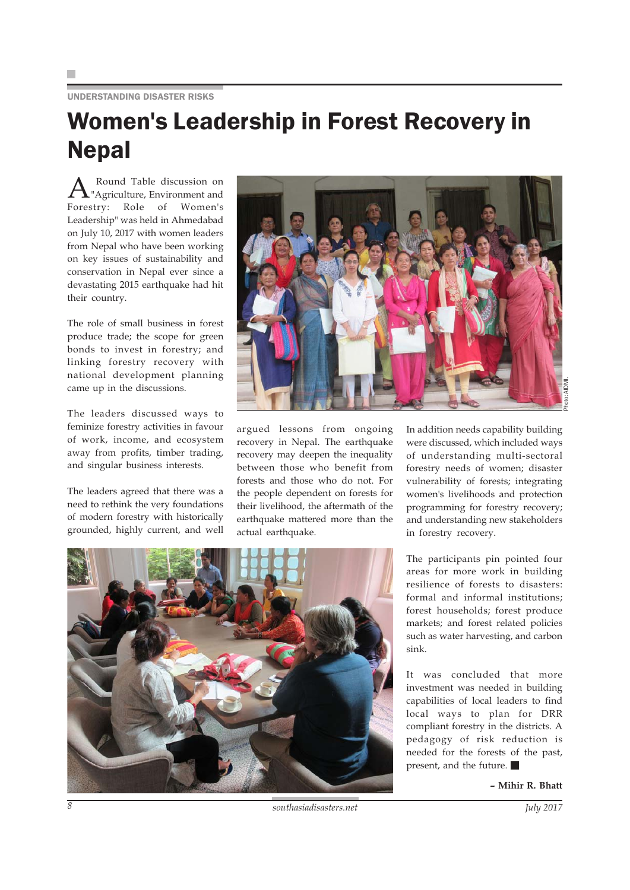#### UNDERSTANDING DISASTER RISKS

## Women's Leadership in Forest Recovery in Nepal

A Round Table discussion on<br>The "Agriculture, Environment and Forestry: Role of Women's Leadership" was held in Ahmedabad on July 10, 2017 with women leaders from Nepal who have been working on key issues of sustainability and conservation in Nepal ever since a devastating 2015 earthquake had hit their country.

The role of small business in forest produce trade; the scope for green bonds to invest in forestry; and linking forestry recovery with national development planning came up in the discussions.

The leaders discussed ways to feminize forestry activities in favour of work, income, and ecosystem away from profits, timber trading, and singular business interests.

The leaders agreed that there was a need to rethink the very foundations of modern forestry with historically grounded, highly current, and well



argued lessons from ongoing recovery in Nepal. The earthquake recovery may deepen the inequality between those who benefit from forests and those who do not. For the people dependent on forests for their livelihood, the aftermath of the earthquake mattered more than the actual earthquake.

In addition needs capability building were discussed, which included ways of understanding multi-sectoral forestry needs of women; disaster vulnerability of forests; integrating women's livelihoods and protection programming for forestry recovery; and understanding new stakeholders in forestry recovery.

The participants pin pointed four areas for more work in building resilience of forests to disasters: formal and informal institutions; forest households; forest produce markets; and forest related policies such as water harvesting, and carbon sink.

It was concluded that more investment was needed in building capabilities of local leaders to find local ways to plan for DRR compliant forestry in the districts. A pedagogy of risk reduction is needed for the forests of the past, present, and the future.

**– Mihir R. Bhatt**



*8 southasiadisasters.net July 2017*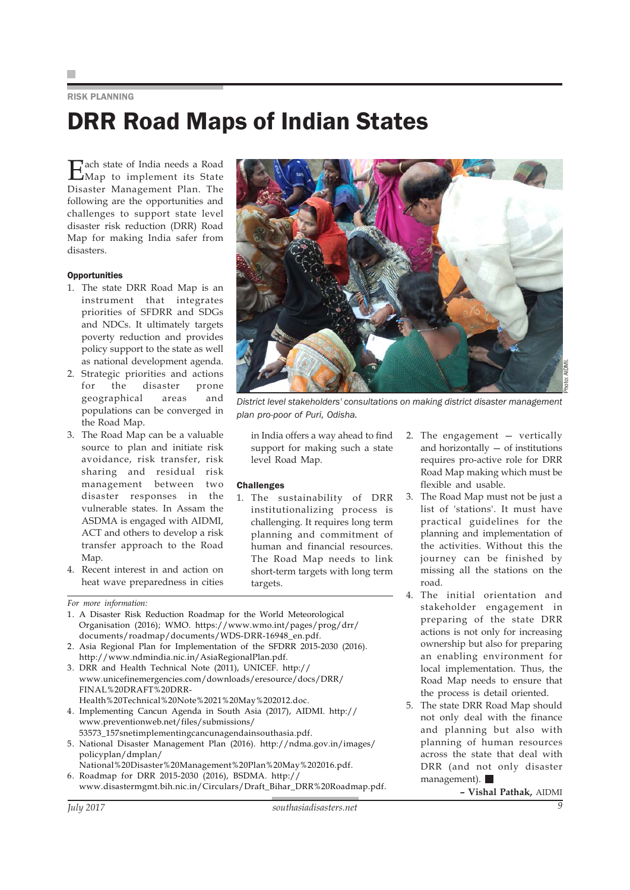#### RISK PLANNING

# DRR Road Maps of Indian States

Each state of India needs a Road Map to implement its State Disaster Management Plan. The following are the opportunities and challenges to support state level disaster risk reduction (DRR) Road Map for making India safer from disasters.

#### **Opportunities**

- 1. The state DRR Road Map is an instrument that integrates priorities of SFDRR and SDGs and NDCs. It ultimately targets poverty reduction and provides policy support to the state as well as national development agenda.
- 2. Strategic priorities and actions for the disaster prone geographical areas and populations can be converged in the Road Map.
- 3. The Road Map can be a valuable source to plan and initiate risk avoidance, risk transfer, risk sharing and residual risk management between two disaster responses in the vulnerable states. In Assam the ASDMA is engaged with AIDMI, ACT and others to develop a risk transfer approach to the Road Map.
- 4. Recent interest in and action on heat wave preparedness in cities

FINAL%20DRAFT%20DRR-

policyplan/dmplan/

1. A Disaster Risk Reduction Roadmap for the World Meteorological Organisation (2016); WMO. https://www.wmo.int/pages/prog/drr/

www.unicefinemergencies.com/downloads/eresource/docs/DRR/

4. Implementing Cancun Agenda in South Asia (2017), AIDMI. http://

5. National Disaster Management Plan (2016). http://ndma.gov.in/images/

www.disastermgmt.bih.nic.in/Circulars/Draft\_Bihar\_DRR%20Roadmap.pdf.

National%20Disaster%20Management%20Plan%20May%202016.pdf.

documents/roadmap/documents/WDS-DRR-16948\_en.pdf. 2. Asia Regional Plan for Implementation of the SFDRR 2015-2030 (2016).

Health%20Technical%20Note%2021%20May%202012.doc.

53573\_157snetimplementingcancunagendainsouthasia.pdf.

6. Roadmap for DRR 2015-2030 (2016), BSDMA. http://

http://www.ndmindia.nic.in/AsiaRegionalPlan.pdf. 3. DRR and Health Technical Note (2011), UNICEF. http://

www.preventionweb.net/files/submissions/

*For more information:*



*District level stakeholders' consultations on making district disaster management plan pro-poor of Puri, Odisha.*

in India offers a way ahead to find support for making such a state level Road Map.

#### **Challenges**

- 1. The sustainability of DRR institutionalizing process is challenging. It requires long term planning and commitment of human and financial resources. The Road Map needs to link short-term targets with long term targets.
- 2. The engagement vertically and horizontally — of institutions requires pro-active role for DRR Road Map making which must be flexible and usable.
- 3. The Road Map must not be just a list of 'stations'. It must have practical guidelines for the planning and implementation of the activities. Without this the journey can be finished by missing all the stations on the road.
- 4. The initial orientation and stakeholder engagement in preparing of the state DRR actions is not only for increasing ownership but also for preparing an enabling environment for local implementation. Thus, the Road Map needs to ensure that the process is detail oriented.
- 5. The state DRR Road Map should not only deal with the finance and planning but also with planning of human resources across the state that deal with DRR (and not only disaster management).

**– Vishal Pathak,** AIDMI

*July 2017 southasiadisasters.net 9*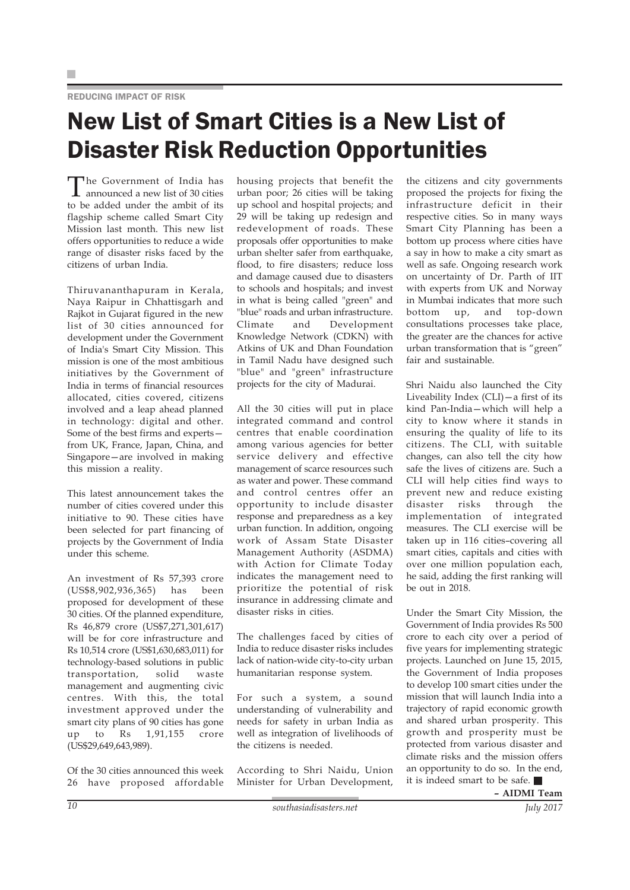#### REDUCING IMPACT OF RISK

# New List of Smart Cities is a New List of Disaster Risk Reduction Opportunities

The Government of India has announced a new list of 30 cities to be added under the ambit of its flagship scheme called Smart City Mission last month. This new list offers opportunities to reduce a wide range of disaster risks faced by the citizens of urban India.

Thiruvananthapuram in Kerala, Naya Raipur in Chhattisgarh and Rajkot in Gujarat figured in the new list of 30 cities announced for development under the Government of India's Smart City Mission. This mission is one of the most ambitious initiatives by the Government of India in terms of financial resources allocated, cities covered, citizens involved and a leap ahead planned in technology: digital and other. Some of the best firms and experts from UK, France, Japan, China, and Singapore—are involved in making this mission a reality.

This latest announcement takes the number of cities covered under this initiative to 90. These cities have been selected for part financing of projects by the Government of India under this scheme.

An investment of Rs 57,393 crore (US\$8,902,936,365) has been proposed for development of these 30 cities. Of the planned expenditure, Rs 46,879 crore (US\$7,271,301,617) will be for core infrastructure and Rs 10,514 crore (US\$1,630,683,011) for technology-based solutions in public transportation, solid waste management and augmenting civic centres. With this, the total investment approved under the smart city plans of 90 cities has gone up to Rs 1,91,155 crore (US\$29,649,643,989).

Of the 30 cities announced this week 26 have proposed affordable housing projects that benefit the urban poor; 26 cities will be taking up school and hospital projects; and 29 will be taking up redesign and redevelopment of roads. These proposals offer opportunities to make urban shelter safer from earthquake, flood, to fire disasters; reduce loss and damage caused due to disasters to schools and hospitals; and invest in what is being called "green" and "blue" roads and urban infrastructure. Climate and Development Knowledge Network (CDKN) with Atkins of UK and Dhan Foundation in Tamil Nadu have designed such "blue" and "green" infrastructure projects for the city of Madurai.

All the 30 cities will put in place integrated command and control centres that enable coordination among various agencies for better service delivery and effective management of scarce resources such as water and power. These command and control centres offer an opportunity to include disaster response and preparedness as a key urban function. In addition, ongoing work of Assam State Disaster Management Authority (ASDMA) with Action for Climate Today indicates the management need to prioritize the potential of risk insurance in addressing climate and disaster risks in cities.

The challenges faced by cities of India to reduce disaster risks includes lack of nation-wide city-to-city urban humanitarian response system.

For such a system, a sound understanding of vulnerability and needs for safety in urban India as well as integration of livelihoods of the citizens is needed.

According to Shri Naidu, Union Minister for Urban Development,

the citizens and city governments proposed the projects for fixing the infrastructure deficit in their respective cities. So in many ways Smart City Planning has been a bottom up process where cities have a say in how to make a city smart as well as safe. Ongoing research work on uncertainty of Dr. Parth of IIT with experts from UK and Norway in Mumbai indicates that more such bottom up, and top-down consultations processes take place, the greater are the chances for active urban transformation that is "green" fair and sustainable.

Shri Naidu also launched the City Liveability Index (CLI)—a first of its kind Pan-India—which will help a city to know where it stands in ensuring the quality of life to its citizens. The CLI, with suitable changes, can also tell the city how safe the lives of citizens are. Such a CLI will help cities find ways to prevent new and reduce existing disaster risks through the implementation of integrated measures. The CLI exercise will be taken up in 116 cities–covering all smart cities, capitals and cities with over one million population each, he said, adding the first ranking will be out in 2018.

Under the Smart City Mission, the Government of India provides Rs 500 crore to each city over a period of five years for implementing strategic projects. Launched on June 15, 2015, the Government of India proposes to develop 100 smart cities under the mission that will launch India into a trajectory of rapid economic growth and shared urban prosperity. This growth and prosperity must be protected from various disaster and climate risks and the mission offers an opportunity to do so. In the end, it is indeed smart to be safe.

**– AIDMI Team**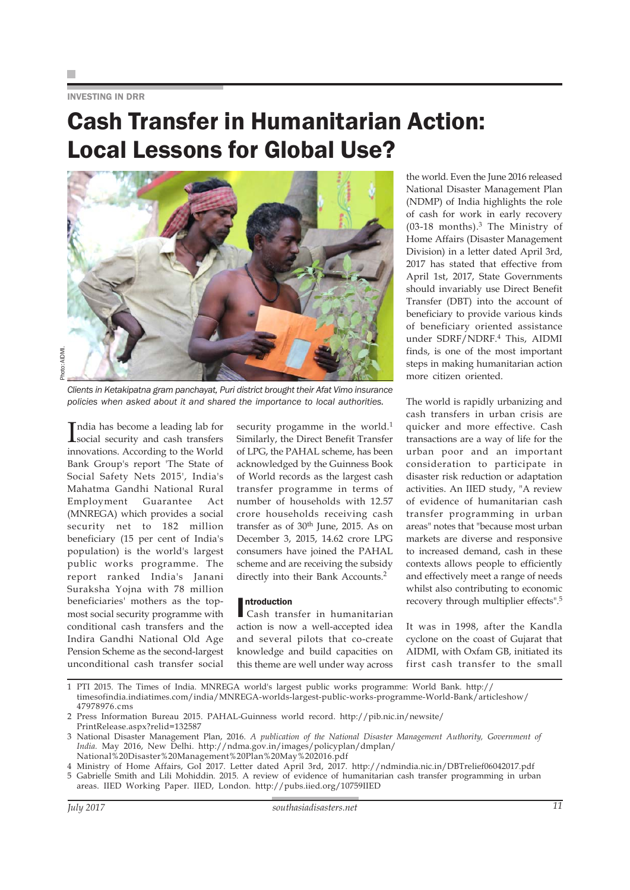INVESTING IN DRR

# Cash Transfer in Humanitarian Action: Local Lessons for Global Use?



*Clients in Ketakipatna gram panchayat, Puri district brought their Afat Vimo insurance policies when asked about it and shared the importance to local authorities.*

India has become a leading lab for<br>social security and cash transfers social security and cash transfers innovations. According to the World Bank Group's report 'The State of Social Safety Nets 2015', India's Mahatma Gandhi National Rural Employment Guarantee Act (MNREGA) which provides a social security net to 182 million beneficiary (15 per cent of India's population) is the world's largest public works programme. The report ranked India's Janani Suraksha Yojna with 78 million beneficiaries' mothers as the topmost social security programme with conditional cash transfers and the Indira Gandhi National Old Age Pension Scheme as the second-largest unconditional cash transfer social

security progamme in the world.<sup>1</sup> Similarly, the Direct Benefit Transfer of LPG, the PAHAL scheme, has been acknowledged by the Guinness Book of World records as the largest cash transfer programme in terms of number of households with 12.57 crore households receiving cash transfer as of 30th June, 2015. As on December 3, 2015, 14.62 crore LPG consumers have joined the PAHAL scheme and are receiving the subsidy directly into their Bank Accounts.<sup>2</sup>

Introduction<br>
Cash tran Cash transfer in humanitarian action is now a well-accepted idea and several pilots that co-create knowledge and build capacities on this theme are well under way across

the world. Even the June 2016 released National Disaster Management Plan (NDMP) of India highlights the role of cash for work in early recovery (03-18 months).3 The Ministry of Home Affairs (Disaster Management Division) in a letter dated April 3rd, 2017 has stated that effective from April 1st, 2017, State Governments should invariably use Direct Benefit Transfer (DBT) into the account of beneficiary to provide various kinds of beneficiary oriented assistance under SDRF/NDRF.4 This, AIDMI finds, is one of the most important steps in making humanitarian action more citizen oriented.

The world is rapidly urbanizing and cash transfers in urban crisis are quicker and more effective. Cash transactions are a way of life for the urban poor and an important consideration to participate in disaster risk reduction or adaptation activities. An IIED study, "A review of evidence of humanitarian cash transfer programming in urban areas" notes that "because most urban markets are diverse and responsive to increased demand, cash in these contexts allows people to efficiently and effectively meet a range of needs whilst also contributing to economic recovery through multiplier effects".<sup>5</sup>

It was in 1998, after the Kandla cyclone on the coast of Gujarat that AIDMI, with Oxfam GB, initiated its first cash transfer to the small

1 PTI 2015. The Times of India. MNREGA world's largest public works programme: World Bank. http:// timesofindia.indiatimes.com/india/MNREGA-worlds-largest-public-works-programme-World-Bank/articleshow/ 47978976.cms

- 4 Ministry of Home Affairs, GoI 2017. Letter dated April 3rd, 2017. http://ndmindia.nic.in/DBTrelief06042017.pdf
- 5 Gabrielle Smith and Lili Mohiddin. 2015. A review of evidence of humanitarian cash transfer programming in urban areas. IIED Working Paper. IIED, London. http://pubs.iied.org/10759IIED

<sup>2</sup> Press Information Bureau 2015. PAHAL-Guinness world record. http://pib.nic.in/newsite/ PrintRelease.aspx?relid=132587

<sup>3</sup> National Disaster Management Plan, 2016. *A publication of the National Disaster Management Authority, Government of India.* May 2016, New Delhi. http://ndma.gov.in/images/policyplan/dmplan/ National%20Disaster%20Management%20Plan%20May%202016.pdf